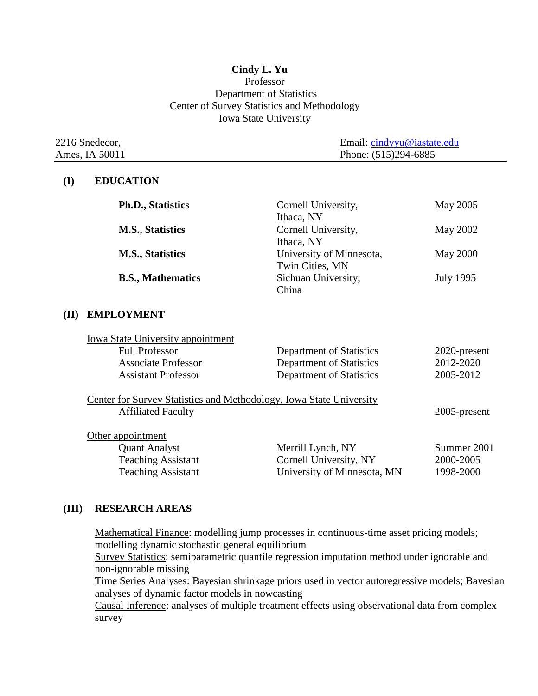### **Cindy L. Yu** Professor Department of Statistics Center of Survey Statistics and Methodology Iowa State University

| 2216 Snedecor, | Email: cindyyu@iastate.edu |
|----------------|----------------------------|
| Ames, IA 50011 | Phone: (515)294-6885       |

#### **(I) EDUCATION**

| <b>Ph.D., Statistics</b> | Cornell University,<br>Ithaca, NY           | May 2005         |
|--------------------------|---------------------------------------------|------------------|
| <b>M.S., Statistics</b>  | Cornell University,<br>Ithaca, NY           | May 2002         |
| <b>M.S., Statistics</b>  | University of Minnesota,<br>Twin Cities, MN | <b>May 2000</b>  |
| <b>B.S., Mathematics</b> | Sichuan University,<br>China                | <b>July 1995</b> |
| <b>EMPLOYMENT</b>        |                                             |                  |

| Department of Statistics        | 2020-present                                                        |
|---------------------------------|---------------------------------------------------------------------|
| <b>Department of Statistics</b> | 2012-2020                                                           |
| <b>Department of Statistics</b> | 2005-2012                                                           |
|                                 | 2005-present                                                        |
|                                 |                                                                     |
| Merrill Lynch, NY               | Summer 2001                                                         |
| Cornell University, NY          | 2000-2005                                                           |
| University of Minnesota, MN     | 1998-2000                                                           |
|                                 | Center for Survey Statistics and Methodology, Iowa State University |

#### **(III) RESEARCH AREAS**

Mathematical Finance: modelling jump processes in continuous-time asset pricing models; modelling dynamic stochastic general equilibrium

Survey Statistics: semiparametric quantile regression imputation method under ignorable and non-ignorable missing

Time Series Analyses: Bayesian shrinkage priors used in vector autoregressive models; Bayesian analyses of dynamic factor models in nowcasting

Causal Inference: analyses of multiple treatment effects using observational data from complex survey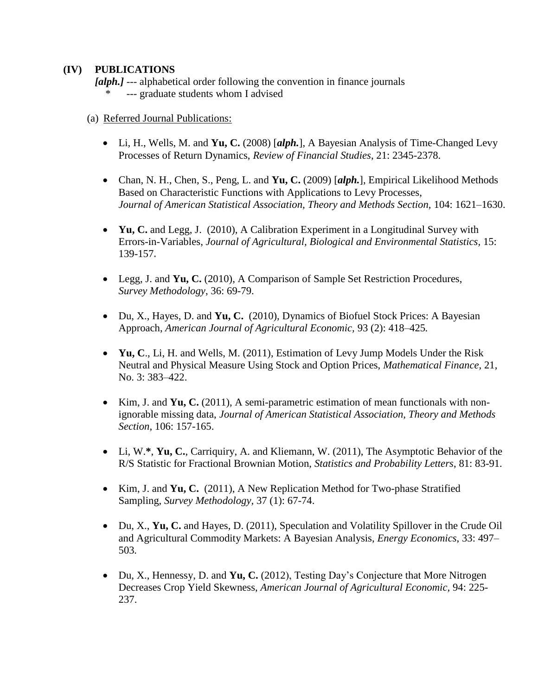### **(IV) PUBLICATIONS**

*[alph.]* --- alphabetical order following the convention in finance journals --- graduate students whom I advised

- (a) Referred Journal Publications:
	- Li, H., Wells, M. and **Yu, C.** (2008) [*alph.*], A Bayesian Analysis of Time-Changed Levy Processes of Return Dynamics, *Review of Financial Studies*, 21: 2345-2378.
	- Chan, N. H., Chen, S., Peng, L. and **Yu, C.** (2009) [*alph.*], Empirical Likelihood Methods Based on Characteristic Functions with Applications to Levy Processes, *Journal of American Statistical Association, Theory and Methods Section,* 104: 1621–1630.
	- **Yu, C.** and Legg, J. (2010), A Calibration Experiment in a Longitudinal Survey with Errors-in-Variables, *Journal of Agricultural, Biological and Environmental Statistics,* 15: 139-157**.**
	- Legg, J. and **Yu, C.** (2010), A Comparison of Sample Set Restriction Procedures,  *Survey Methodology*, 36: 69-79.
	- Du, X., Hayes, D. and **Yu, C.** (2010), Dynamics of Biofuel Stock Prices: A Bayesian Approach, *American Journal of Agricultural Economic,* 93 (2): 418–425*.*
	- **Yu, C**., Li, H. and Wells, M. (2011), Estimation of Levy Jump Models Under the Risk Neutral and Physical Measure Using Stock and Option Prices, *Mathematical Finance*, 21, No. 3: 383–422.
	- Kim, J. and **Yu, C.** (2011), A semi-parametric estimation of mean functionals with nonignorable missing data, *Journal of American Statistical Association, Theory and Methods Section*, 106: 157-165.
	- Li, W.**\***, **Yu, C.**, Carriquiry, A. and Kliemann, W. (2011), The Asymptotic Behavior of the R/S Statistic for Fractional Brownian Motion, *Statistics and Probability Letters*, 81: 83-91.
	- Kim, J. and **Yu, C.** (2011), A New Replication Method for Two-phase Stratified Sampling, *Survey Methodology,* 37 (1): 67-74.
	- Du, X., **Yu, C.** and Hayes, D. (2011), Speculation and Volatility Spillover in the Crude Oil and Agricultural Commodity Markets: A Bayesian Analysis, *Energy Economics*, 33: 497– 503*.*
	- Du, X., Hennessy, D. and **Yu, C.** (2012), Testing Day's Conjecture that More Nitrogen Decreases Crop Yield Skewness, *American Journal of Agricultural Economic,* 94: 225- 237.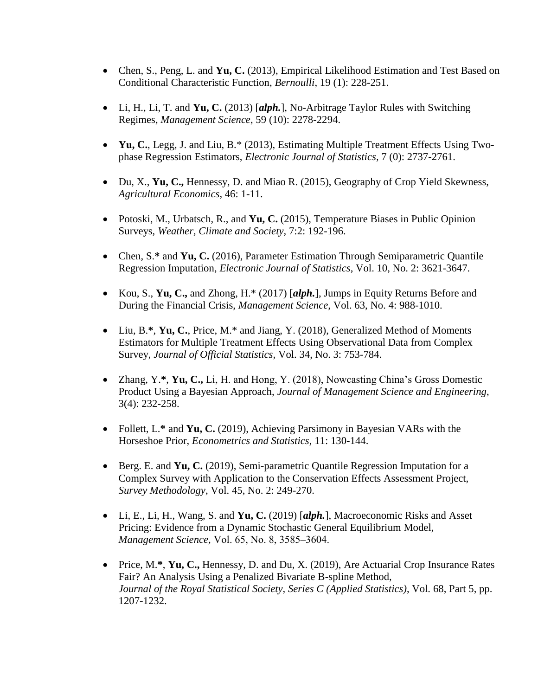- Chen, S., Peng, L. and **Yu, C.** (2013), Empirical Likelihood Estimation and Test Based on Conditional Characteristic Function, *Bernoulli*, 19 (1): 228-251.
- Li, H., Li, T. and **Yu, C.** (2013) [*alph.*], No-Arbitrage Taylor Rules with Switching Regimes, *Management Science*, 59 (10): 2278-2294.
- **Yu, C.**, Legg, J. and Liu, B.\* (2013), Estimating Multiple Treatment Effects Using Twophase Regression Estimators, *Electronic Journal of Statistics,* 7 (0): 2737-2761.
- Du, X., **Yu, C.,** Hennessy, D. and Miao R. (2015), Geography of Crop Yield Skewness, *Agricultural Economics,* 46: 1-11.
- Potoski, M., Urbatsch, R., and **Yu, C.** (2015), Temperature Biases in Public Opinion Surveys, *Weather, Climate and Society,* 7:2: 192-196.
- Chen, S.**\*** and **Yu, C.** (2016), Parameter Estimation Through Semiparametric Quantile Regression Imputation, *Electronic Journal of Statistics*, Vol. 10, No. 2: 3621-3647.
- Kou, S., **Yu, C.,** and Zhong, H.\* (2017) [*alph.*], Jumps in Equity Returns Before and During the Financial Crisis, *Management Science*, Vol. 63, No. 4: 988-1010.
- Liu, B.**\***, **Yu, C.**, Price, M.\* and Jiang, Y. (2018), Generalized Method of Moments Estimators for Multiple Treatment Effects Using Observational Data from Complex Survey, *Journal of Official Statistics,* Vol. 34, No. 3: 753-784.
- Zhang, Y.**\***, **Yu, C.,** Li, H. and Hong, Y. (2018), Nowcasting China's Gross Domestic Product Using a Bayesian Approach, *Journal of Management Science and Engineering*, 3(4): 232-258.
- Follett, L.**\*** and **Yu, C.** (2019), Achieving Parsimony in Bayesian VARs with the Horseshoe Prior, *Econometrics and Statistics,* 11: 130-144.
- Berg. E. and **Yu, C.** (2019), Semi-parametric Quantile Regression Imputation for a Complex Survey with Application to the Conservation Effects Assessment Project, *Survey Methodology*, Vol. 45, No. 2: 249-270.
- Li, E., Li, H., Wang, S. and **Yu, C.** (2019) [*alph.*], Macroeconomic Risks and Asset Pricing: Evidence from a Dynamic Stochastic General Equilibrium Model, *Management Science,* Vol. 65, No. 8, 3585–3604.
- Price, M.**\***, **Yu, C.,** Hennessy, D. and Du, X. (2019), Are Actuarial Crop Insurance Rates Fair? An Analysis Using a Penalized Bivariate B-spline Method, *Journal of the Royal Statistical Society, Series C (Applied Statistics)*, Vol. 68, Part 5, pp. 1207-1232.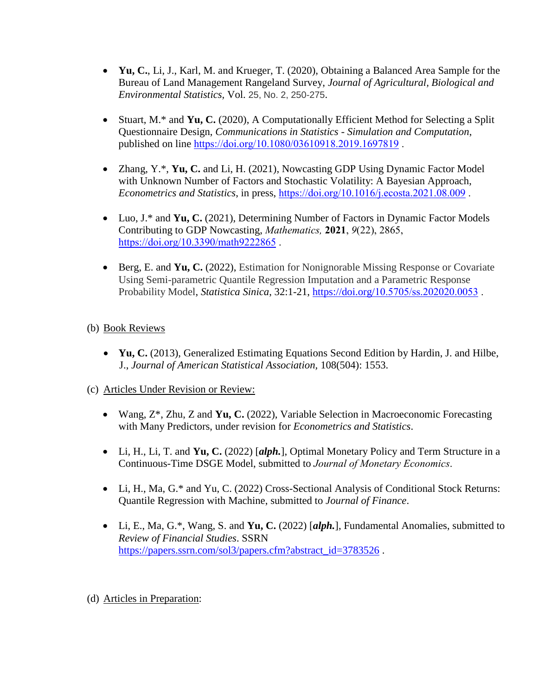- **Yu, C.**, Li, J., Karl, M. and Krueger, T. (2020), Obtaining a Balanced Area Sample for the Bureau of Land Management Rangeland Survey, *Journal of Agricultural, Biological and Environmental Statistics,* Vol. 25, No. 2, 250-275.
- Stuart, M.\* and **Yu, C.** (2020), A Computationally Efficient Method for Selecting a Split Questionnaire Design, *Communications in Statistics - Simulation and Computation*, published on line <https://doi.org/10.1080/03610918.2019.1697819> .
- Zhang, Y.\*, **Yu, C.** and Li, H. (2021), Nowcasting GDP Using Dynamic Factor Model with Unknown Number of Factors and Stochastic Volatility: A Bayesian Approach, *Econometrics and Statistics*, in press, <https://doi.org/10.1016/j.ecosta.2021.08.009> .
- Luo, J.\* and **Yu, C.** (2021), Determining Number of Factors in Dynamic Factor Models Contributing to GDP Nowcasting, *Mathematics,* **2021**, *9*(22), 2865, <https://doi.org/10.3390/math9222865>.
- Berg, E. and **Yu, C.** (2022), Estimation for Nonignorable Missing Response or Covariate Using Semi-parametric Quantile Regression Imputation and a Parametric Response Probability Model, *Statistica Sinica*, 32:1-21, https://doi.org/[10.5705/ss.202020.0053](https://doi.org/10.5705/ss.202020.0053) .

# (b) Book Reviews

• **Yu, C.** (2013), Generalized Estimating Equations Second Edition by Hardin, J. and Hilbe, J., *Journal of American Statistical Association,* 108(504): 1553.

# (c) Articles Under Revision or Review:

- Wang, Z\*, Zhu, Z and **Yu, C.** (2022), Variable Selection in Macroeconomic Forecasting with Many Predictors, under revision for *Econometrics and Statistics*.
- Li, H., Li, T. and **Yu, C.** (2022) [*alph.*], Optimal Monetary Policy and Term Structure in a Continuous-Time DSGE Model, submitted to *Journal of Monetary Economics*.
- Li, H., Ma, G.\* and Yu, C. (2022) Cross-Sectional Analysis of Conditional Stock Returns: Quantile Regression with Machine, submitted to *Journal of Finance*.
- Li, E., Ma, G.\*, Wang, S. and **Yu, C.** (2022) [*alph.*], Fundamental Anomalies, submitted to *Review of Financial Studies*. SSRN [https://papers.ssrn.com/sol3/papers.cfm?abstract\\_id=3783526](https://papers.ssrn.com/sol3/papers.cfm?abstract_id=3783526).

# (d) Articles in Preparation: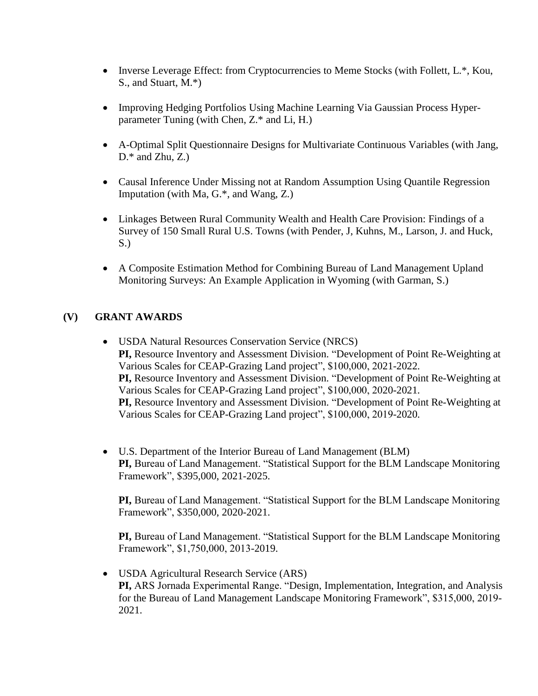- Inverse Leverage Effect: from Cryptocurrencies to Meme Stocks (with Follett, L.\*, Kou, S., and Stuart, M.\*)
- Improving Hedging Portfolios Using Machine Learning Via Gaussian Process Hyperparameter Tuning (with Chen, Z.\* and Li, H.)
- A-Optimal Split Questionnaire Designs for Multivariate Continuous Variables (with Jang,  $D.*$  and Zhu, Z.)
- Causal Inference Under Missing not at Random Assumption Using Quantile Regression Imputation (with Ma, G.\*, and Wang, Z.)
- Linkages Between Rural Community Wealth and Health Care Provision: Findings of a Survey of 150 Small Rural U.S. Towns (with Pender, J, Kuhns, M., Larson, J. and Huck, S.)
- A Composite Estimation Method for Combining Bureau of Land Management Upland Monitoring Surveys: An Example Application in Wyoming (with Garman, S.)

# **(V) GRANT AWARDS**

- USDA Natural Resources Conservation Service (NRCS) **PI,** Resource Inventory and Assessment Division. "Development of Point Re-Weighting at Various Scales for CEAP-Grazing Land project", \$100,000, 2021-2022. **PI,** Resource Inventory and Assessment Division. "Development of Point Re-Weighting at Various Scales for CEAP-Grazing Land project", \$100,000, 2020-2021. **PI,** Resource Inventory and Assessment Division. "Development of Point Re-Weighting at Various Scales for CEAP-Grazing Land project", \$100,000, 2019-2020.
- U.S. Department of the Interior Bureau of Land Management (BLM) **PI,** Bureau of Land Management. "Statistical Support for the BLM Landscape Monitoring Framework", \$395,000, 2021-2025.

**PI,** Bureau of Land Management. "Statistical Support for the BLM Landscape Monitoring Framework", \$350,000, 2020-2021.

**PI,** Bureau of Land Management. "Statistical Support for the BLM Landscape Monitoring Framework", \$1,750,000, 2013-2019.

• USDA Agricultural Research Service (ARS) **PI,** ARS Jornada Experimental Range. "Design, Implementation, Integration, and Analysis for the Bureau of Land Management Landscape Monitoring Framework", \$315,000, 2019- 2021.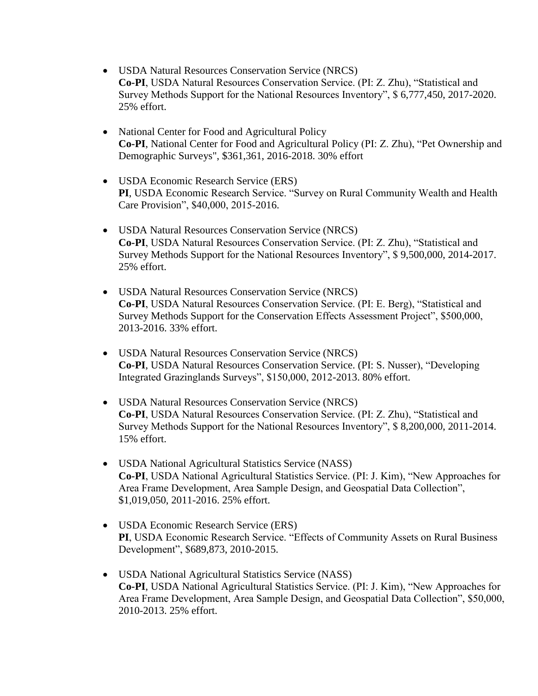- USDA Natural Resources Conservation Service (NRCS) **Co-PI**, USDA Natural Resources Conservation Service. (PI: Z. Zhu), "Statistical and Survey Methods Support for the National Resources Inventory", \$ 6,777,450, 2017-2020. 25% effort.
- National Center for Food and Agricultural Policy **Co-PI**, National Center for Food and Agricultural Policy (PI: Z. Zhu), "Pet Ownership and Demographic Surveys", \$361,361, 2016-2018. 30% effort
- USDA Economic Research Service (ERS) **PI**, USDA Economic Research Service. "Survey on Rural Community Wealth and Health Care Provision", \$40,000, 2015-2016.
- USDA Natural Resources Conservation Service (NRCS) **Co-PI**, USDA Natural Resources Conservation Service. (PI: Z. Zhu), "Statistical and Survey Methods Support for the National Resources Inventory", \$ 9,500,000, 2014-2017. 25% effort.
- USDA Natural Resources Conservation Service (NRCS) **Co-PI**, USDA Natural Resources Conservation Service. (PI: E. Berg), "Statistical and Survey Methods Support for the Conservation Effects Assessment Project", \$500,000, 2013-2016. 33% effort.
- USDA Natural Resources Conservation Service (NRCS) **Co-PI**, USDA Natural Resources Conservation Service. (PI: S. Nusser), "Developing Integrated Grazinglands Surveys", \$150,000, 2012-2013. 80% effort.
- USDA Natural Resources Conservation Service (NRCS) **Co-PI**, USDA Natural Resources Conservation Service. (PI: Z. Zhu), "Statistical and Survey Methods Support for the National Resources Inventory", \$ 8,200,000, 2011-2014. 15% effort.
- USDA National Agricultural Statistics Service (NASS) **Co-PI**, USDA National Agricultural Statistics Service. (PI: J. Kim), "New Approaches for Area Frame Development, Area Sample Design, and Geospatial Data Collection", \$1,019,050, 2011-2016. 25% effort.
- USDA Economic Research Service (ERS) **PI**, USDA Economic Research Service. "Effects of Community Assets on Rural Business Development", \$689,873, 2010-2015.
- USDA National Agricultural Statistics Service (NASS) **Co-PI**, USDA National Agricultural Statistics Service. (PI: J. Kim), "New Approaches for Area Frame Development, Area Sample Design, and Geospatial Data Collection", \$50,000, 2010-2013. 25% effort.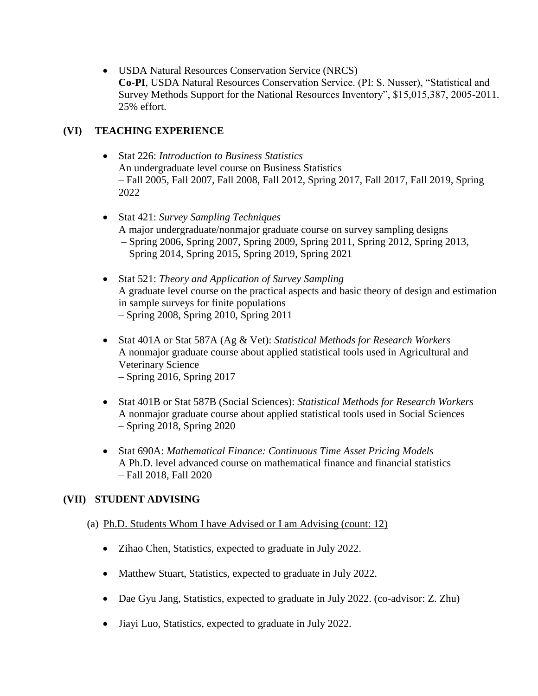• USDA Natural Resources Conservation Service (NRCS) **Co-PI**, USDA Natural Resources Conservation Service. (PI: S. Nusser), "Statistical and Survey Methods Support for the National Resources Inventory", \$15,015,387, 2005-2011. 25% effort.

# **(VI) TEACHING EXPERIENCE**

- Stat 226: *Introduction to Business Statistics* An undergraduate level course on Business Statistics – Fall 2005, Fall 2007, Fall 2008, Fall 2012, Spring 2017, Fall 2017, Fall 2019, Spring 2022
- Stat 421: *Survey Sampling Techniques* A major undergraduate/nonmajor graduate course on survey sampling designs – Spring 2006, Spring 2007, Spring 2009, Spring 2011, Spring 2012, Spring 2013, Spring 2014, Spring 2015, Spring 2019, Spring 2021
- Stat 521: *Theory and Application of Survey Sampling* A graduate level course on the practical aspects and basic theory of design and estimation in sample surveys for finite populations – Spring 2008, Spring 2010, Spring 2011
- Stat 401A or Stat 587A (Ag & Vet): *Statistical Methods for Research Workers* A nonmajor graduate course about applied statistical tools used in Agricultural and Veterinary Science – Spring 2016, Spring 2017
- Stat 401B or Stat 587B (Social Sciences): *Statistical Methods for Research Workers* A nonmajor graduate course about applied statistical tools used in Social Sciences – Spring 2018, Spring 2020
- Stat 690A: *Mathematical Finance: Continuous Time Asset Pricing Models* A Ph.D. level advanced course on mathematical finance and financial statistics – Fall 2018, Fall 2020

# **(VII) STUDENT ADVISING**

# (a) Ph.D. Students Whom I have Advised or I am Advising (count: 12)

- Zihao Chen, Statistics, expected to graduate in July 2022.
- Matthew Stuart, Statistics, expected to graduate in July 2022.
- Dae Gyu Jang, Statistics, expected to graduate in July 2022. (co-advisor: Z. Zhu)
- Jiayi Luo, Statistics, expected to graduate in July 2022.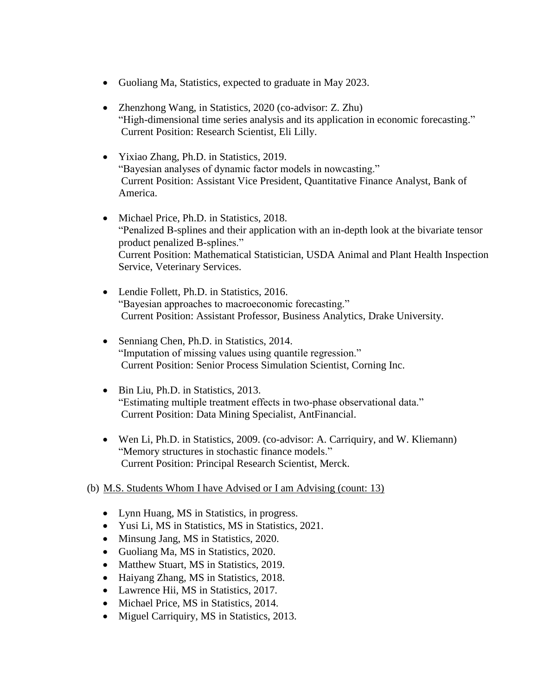- Guoliang Ma, Statistics, expected to graduate in May 2023.
- Zhenzhong Wang, in Statistics, 2020 (co-advisor: Z. Zhu) "High-dimensional time series analysis and its application in economic forecasting." Current Position: Research Scientist, Eli Lilly.
- Yixiao Zhang, Ph.D. in Statistics, 2019. "Bayesian analyses of dynamic factor models in nowcasting." Current Position: Assistant Vice President, Quantitative Finance Analyst, Bank of America.
- Michael Price, Ph.D. in Statistics, 2018. "Penalized B-splines and their application with an in-depth look at the bivariate tensor product penalized B-splines." Current Position: Mathematical Statistician, USDA Animal and Plant Health Inspection Service, Veterinary Services.
- Lendie Follett, Ph.D. in Statistics, 2016. "Bayesian approaches to macroeconomic forecasting." Current Position: Assistant Professor, Business Analytics, Drake University.
- Senniang Chen, Ph.D. in Statistics, 2014. "Imputation of missing values using quantile regression." Current Position: Senior Process Simulation Scientist, Corning Inc.
- Bin Liu, Ph.D. in Statistics, 2013. "Estimating multiple treatment effects in two-phase observational data." Current Position: Data Mining Specialist, AntFinancial.
- Wen Li, Ph.D. in Statistics, 2009. (co-advisor: A. Carriquiry, and W. Kliemann) "Memory structures in stochastic finance models." Current Position: Principal Research Scientist, Merck.

# (b) M.S. Students Whom I have Advised or I am Advising (count: 13)

- Lynn Huang, MS in Statistics, in progress.
- Yusi Li, MS in Statistics, MS in Statistics, 2021.
- Minsung Jang, MS in Statistics, 2020.
- Guoliang Ma, MS in Statistics, 2020.
- Matthew Stuart, MS in Statistics, 2019.
- Haiyang Zhang, MS in Statistics, 2018.
- Lawrence Hii, MS in Statistics, 2017.
- Michael Price, MS in Statistics, 2014.
- Miguel Carriquiry, MS in Statistics, 2013.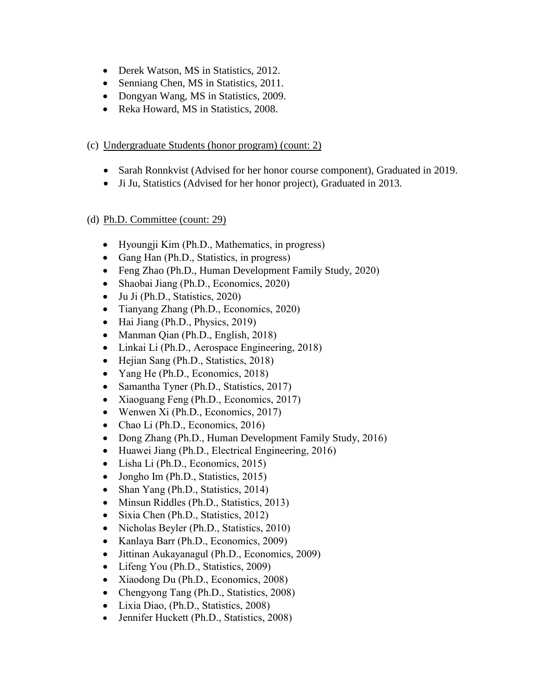- Derek Watson, MS in Statistics, 2012.
- Senniang Chen, MS in Statistics, 2011.
- Dongyan Wang, MS in Statistics, 2009.
- Reka Howard, MS in Statistics, 2008.

### (c) Undergraduate Students (honor program) (count: 2)

- Sarah Ronnkvist (Advised for her honor course component), Graduated in 2019.
- Ji Ju, Statistics (Advised for her honor project), Graduated in 2013.

### (d) Ph.D. Committee (count: 29)

- Hyoungji Kim (Ph.D., Mathematics, in progress)
- Gang Han (Ph.D., Statistics, in progress)
- Feng Zhao (Ph.D., Human Development Family Study, 2020)
- Shaobai Jiang (Ph.D., Economics, 2020)
- Ju Ji (Ph.D., Statistics, 2020)
- Tianyang Zhang (Ph.D., Economics, 2020)
- Hai Jiang (Ph.D., Physics, 2019)
- Manman Qian (Ph.D., English, 2018)
- Linkai Li (Ph.D., Aerospace Engineering, 2018)
- Hejian Sang (Ph.D., Statistics, 2018)
- Yang He (Ph.D., Economics, 2018)
- Samantha Tyner (Ph.D., Statistics, 2017)
- Xiaoguang Feng (Ph.D., Economics, 2017)
- Wenwen Xi (Ph.D., Economics, 2017)
- Chao Li (Ph.D., Economics, 2016)
- Dong Zhang (Ph.D., Human Development Family Study, 2016)
- Huawei Jiang (Ph.D., Electrical Engineering, 2016)
- Lisha Li (Ph.D., Economics, 2015)
- Jongho Im (Ph.D., Statistics, 2015)
- Shan Yang (Ph.D., Statistics, 2014)
- Minsun Riddles (Ph.D., Statistics, 2013)
- Sixia Chen (Ph.D., Statistics, 2012)
- Nicholas Beyler (Ph.D., Statistics, 2010)
- Kanlaya Barr (Ph.D., Economics, 2009)
- Jittinan Aukayanagul (Ph.D., Economics, 2009)
- Lifeng You (Ph.D., Statistics, 2009)
- Xiaodong Du (Ph.D., Economics, 2008)
- Chengyong Tang (Ph.D., Statistics, 2008)
- Lixia Diao, (Ph.D., Statistics, 2008)
- Jennifer Huckett (Ph.D., Statistics, 2008)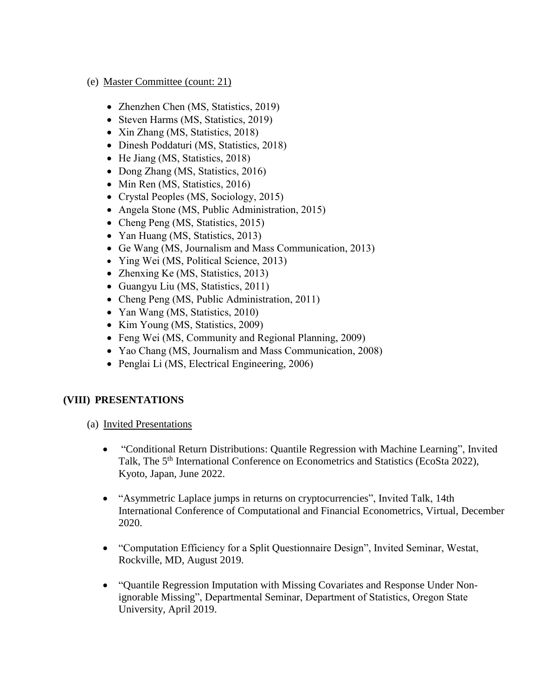- (e) Master Committee (count: 21)
	- Zhenzhen Chen (MS, Statistics, 2019)
	- Steven Harms (MS, Statistics, 2019)
	- Xin Zhang (MS, Statistics, 2018)
	- Dinesh Poddaturi (MS, Statistics, 2018)
	- He Jiang (MS, Statistics, 2018)
	- Dong Zhang (MS, Statistics, 2016)
	- Min Ren (MS, Statistics, 2016)
	- Crystal Peoples (MS, Sociology, 2015)
	- Angela Stone (MS, Public Administration, 2015)
	- Cheng Peng (MS, Statistics, 2015)
	- Yan Huang (MS, Statistics, 2013)
	- Ge Wang (MS, Journalism and Mass Communication, 2013)
	- Ying Wei (MS, Political Science, 2013)
	- Zhenxing Ke (MS, Statistics, 2013)
	- Guangyu Liu (MS, Statistics, 2011)
	- Cheng Peng (MS, Public Administration, 2011)
	- Yan Wang (MS, Statistics, 2010)
	- Kim Young (MS, Statistics, 2009)
	- Feng Wei (MS, Community and Regional Planning, 2009)
	- Yao Chang (MS, Journalism and Mass Communication, 2008)
	- Penglai Li (MS, Electrical Engineering, 2006)

#### **(VIII) PRESENTATIONS**

- (a) Invited Presentations
	- "Conditional Return Distributions: Quantile Regression with Machine Learning", Invited Talk, The 5<sup>th</sup> International Conference on Econometrics and Statistics (EcoSta 2022), Kyoto, Japan, June 2022.
	- "Asymmetric Laplace jumps in returns on cryptocurrencies", Invited Talk, 14th International Conference of Computational and Financial Econometrics, Virtual, December 2020.
	- "Computation Efficiency for a Split Questionnaire Design", Invited Seminar, Westat, Rockville, MD, August 2019.
	- "Quantile Regression Imputation with Missing Covariates and Response Under Nonignorable Missing", Departmental Seminar, Department of Statistics, Oregon State University, April 2019.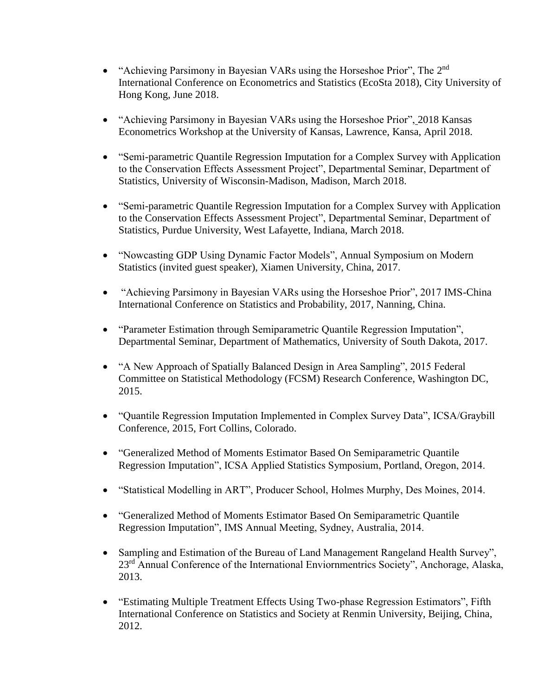- "Achieving Parsimony in Bayesian VARs using the Horseshoe Prior", The 2<sup>nd</sup> International Conference on Econometrics and Statistics (EcoSta 2018), City University of Hong Kong, June 2018.
- "Achieving Parsimony in Bayesian VARs using the Horseshoe Prior", 2018 Kansas Econometrics Workshop at the University of Kansas, Lawrence, Kansa, April 2018.
- "Semi-parametric Quantile Regression Imputation for a Complex Survey with Application to the Conservation Effects Assessment Project", Departmental Seminar, Department of Statistics, University of Wisconsin-Madison, Madison, March 2018.
- "Semi-parametric Quantile Regression Imputation for a Complex Survey with Application to the Conservation Effects Assessment Project", Departmental Seminar, Department of Statistics, Purdue University, West Lafayette, Indiana, March 2018.
- "Nowcasting GDP Using Dynamic Factor Models", Annual Symposium on Modern Statistics (invited guest speaker), Xiamen University, China, 2017.
- "Achieving Parsimony in Bayesian VARs using the Horseshoe Prior", 2017 IMS-China International Conference on Statistics and Probability, 2017, Nanning, China.
- "Parameter Estimation through Semiparametric Quantile Regression Imputation", Departmental Seminar, Department of Mathematics, University of South Dakota, 2017.
- "A New Approach of Spatially Balanced Design in Area Sampling", 2015 Federal Committee on Statistical Methodology (FCSM) Research Conference, Washington DC, 2015.
- "Quantile Regression Imputation Implemented in Complex Survey Data", ICSA/Graybill Conference, 2015, Fort Collins, Colorado.
- "Generalized Method of Moments Estimator Based On Semiparametric Quantile Regression Imputation", ICSA Applied Statistics Symposium, Portland, Oregon, 2014.
- "Statistical Modelling in ART", Producer School, Holmes Murphy, Des Moines, 2014.
- "Generalized Method of Moments Estimator Based On Semiparametric Quantile Regression Imputation", IMS Annual Meeting, Sydney, Australia, 2014.
- Sampling and Estimation of the Bureau of Land Management Rangeland Health Survey", 23<sup>rd</sup> Annual Conference of the International Enviornmentrics Society", Anchorage, Alaska, 2013.
- "Estimating Multiple Treatment Effects Using Two-phase Regression Estimators", Fifth International Conference on Statistics and Society at Renmin University, Beijing, China, 2012.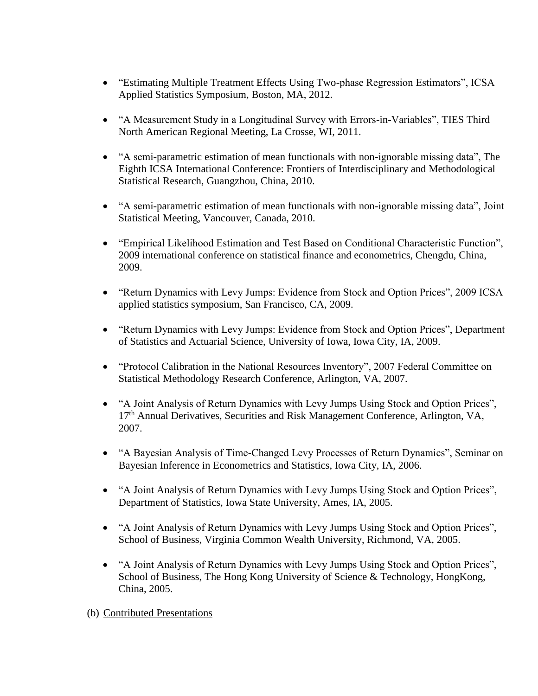- "Estimating Multiple Treatment Effects Using Two-phase Regression Estimators", ICSA Applied Statistics Symposium, Boston, MA, 2012.
- "A Measurement Study in a Longitudinal Survey with Errors-in-Variables", TIES Third North American Regional Meeting, La Crosse, WI, 2011.
- "A semi-parametric estimation of mean functionals with non-ignorable missing data", The Eighth ICSA International Conference: Frontiers of Interdisciplinary and Methodological Statistical Research, Guangzhou, China, 2010.
- "A semi-parametric estimation of mean functionals with non-ignorable missing data", Joint Statistical Meeting, Vancouver, Canada, 2010.
- "Empirical Likelihood Estimation and Test Based on Conditional Characteristic Function", 2009 international conference on statistical finance and econometrics, Chengdu, China, 2009.
- "Return Dynamics with Levy Jumps: Evidence from Stock and Option Prices", 2009 ICSA applied statistics symposium, San Francisco, CA, 2009.
- "Return Dynamics with Levy Jumps: Evidence from Stock and Option Prices", Department of Statistics and Actuarial Science, University of Iowa, Iowa City, IA, 2009.
- "Protocol Calibration in the National Resources Inventory", 2007 Federal Committee on Statistical Methodology Research Conference, Arlington, VA, 2007.
- "A Joint Analysis of Return Dynamics with Levy Jumps Using Stock and Option Prices", 17<sup>th</sup> Annual Derivatives, Securities and Risk Management Conference, Arlington, VA, 2007.
- "A Bayesian Analysis of Time-Changed Levy Processes of Return Dynamics", Seminar on Bayesian Inference in Econometrics and Statistics, Iowa City, IA, 2006.
- "A Joint Analysis of Return Dynamics with Levy Jumps Using Stock and Option Prices", Department of Statistics, Iowa State University, Ames, IA, 2005.
- "A Joint Analysis of Return Dynamics with Levy Jumps Using Stock and Option Prices", School of Business, Virginia Common Wealth University, Richmond, VA, 2005.
- "A Joint Analysis of Return Dynamics with Levy Jumps Using Stock and Option Prices", School of Business, The Hong Kong University of Science & Technology, HongKong, China, 2005.
- (b) Contributed Presentations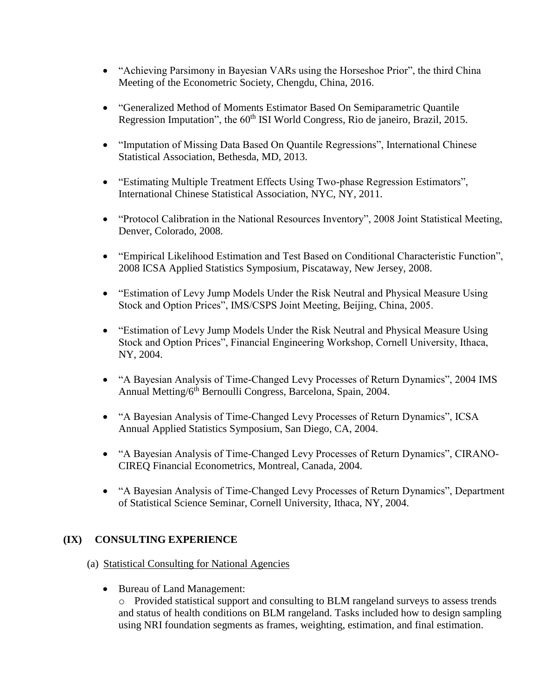- "Achieving Parsimony in Bayesian VARs using the Horseshoe Prior", the third China Meeting of the Econometric Society, Chengdu, China, 2016.
- "Generalized Method of Moments Estimator Based On Semiparametric Quantile Regression Imputation", the 60<sup>th</sup> ISI World Congress, Rio de janeiro, Brazil, 2015.
- "Imputation of Missing Data Based On Quantile Regressions", International Chinese Statistical Association, Bethesda, MD, 2013.
- "Estimating Multiple Treatment Effects Using Two-phase Regression Estimators", International Chinese Statistical Association, NYC, NY, 2011.
- "Protocol Calibration in the National Resources Inventory", 2008 Joint Statistical Meeting, Denver, Colorado, 2008.
- "Empirical Likelihood Estimation and Test Based on Conditional Characteristic Function", 2008 ICSA Applied Statistics Symposium, Piscataway, New Jersey, 2008.
- "Estimation of Levy Jump Models Under the Risk Neutral and Physical Measure Using Stock and Option Prices", IMS/CSPS Joint Meeting, Beijing, China, 2005.
- "Estimation of Levy Jump Models Under the Risk Neutral and Physical Measure Using Stock and Option Prices", Financial Engineering Workshop, Cornell University, Ithaca, NY, 2004.
- "A Bayesian Analysis of Time-Changed Levy Processes of Return Dynamics", 2004 IMS Annual Metting/6<sup>th</sup> Bernoulli Congress, Barcelona, Spain, 2004.
- "A Bayesian Analysis of Time-Changed Levy Processes of Return Dynamics", ICSA Annual Applied Statistics Symposium, San Diego, CA, 2004.
- "A Bayesian Analysis of Time-Changed Levy Processes of Return Dynamics", CIRANO-CIREQ Financial Econometrics, Montreal, Canada, 2004.
- "A Bayesian Analysis of Time-Changed Levy Processes of Return Dynamics", Department of Statistical Science Seminar, Cornell University, Ithaca, NY, 2004.

# **(IX) CONSULTING EXPERIENCE**

- (a) Statistical Consulting for National Agencies
	- Bureau of Land Management:

o Provided statistical support and consulting to BLM rangeland surveys to assess trends and status of health conditions on BLM rangeland. Tasks included how to design sampling using NRI foundation segments as frames, weighting, estimation, and final estimation.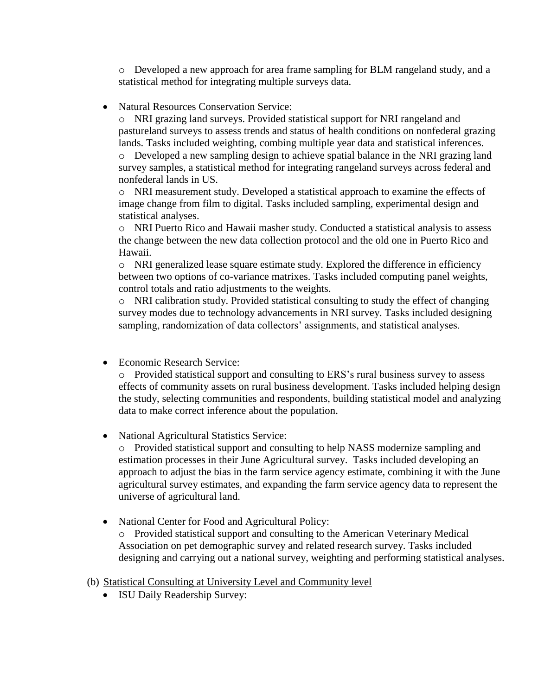o Developed a new approach for area frame sampling for BLM rangeland study, and a statistical method for integrating multiple surveys data.

• Natural Resources Conservation Service:

o NRI grazing land surveys. Provided statistical support for NRI rangeland and pastureland surveys to assess trends and status of health conditions on nonfederal grazing lands. Tasks included weighting, combing multiple year data and statistical inferences. o Developed a new sampling design to achieve spatial balance in the NRI grazing land survey samples, a statistical method for integrating rangeland surveys across federal and nonfederal lands in US.

o NRI measurement study. Developed a statistical approach to examine the effects of image change from film to digital. Tasks included sampling, experimental design and statistical analyses.

o NRI Puerto Rico and Hawaii masher study. Conducted a statistical analysis to assess the change between the new data collection protocol and the old one in Puerto Rico and Hawaii.

o NRI generalized lease square estimate study. Explored the difference in efficiency between two options of co-variance matrixes. Tasks included computing panel weights, control totals and ratio adjustments to the weights.

o NRI calibration study. Provided statistical consulting to study the effect of changing survey modes due to technology advancements in NRI survey. Tasks included designing sampling, randomization of data collectors' assignments, and statistical analyses.

• Economic Research Service:

o Provided statistical support and consulting to ERS's rural business survey to assess effects of community assets on rural business development. Tasks included helping design the study, selecting communities and respondents, building statistical model and analyzing data to make correct inference about the population.

• National Agricultural Statistics Service:

o Provided statistical support and consulting to help NASS modernize sampling and estimation processes in their June Agricultural survey. Tasks included developing an approach to adjust the bias in the farm service agency estimate, combining it with the June agricultural survey estimates, and expanding the farm service agency data to represent the universe of agricultural land.

• National Center for Food and Agricultural Policy:

o Provided statistical support and consulting to the American Veterinary Medical Association on pet demographic survey and related research survey. Tasks included designing and carrying out a national survey, weighting and performing statistical analyses.

- (b) Statistical Consulting at University Level and Community level
	- ISU Daily Readership Survey: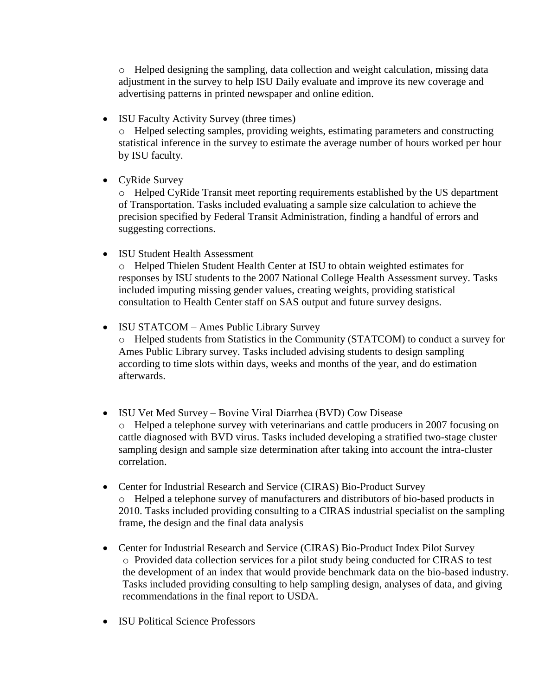o Helped designing the sampling, data collection and weight calculation, missing data adjustment in the survey to help ISU Daily evaluate and improve its new coverage and advertising patterns in printed newspaper and online edition.

• ISU Faculty Activity Survey (three times)

o Helped selecting samples, providing weights, estimating parameters and constructing statistical inference in the survey to estimate the average number of hours worked per hour by ISU faculty.

• CyRide Survey

o Helped CyRide Transit meet reporting requirements established by the US department of Transportation. Tasks included evaluating a sample size calculation to achieve the precision specified by Federal Transit Administration, finding a handful of errors and suggesting corrections.

• ISU Student Health Assessment

o Helped Thielen Student Health Center at ISU to obtain weighted estimates for responses by ISU students to the 2007 National College Health Assessment survey. Tasks included imputing missing gender values, creating weights, providing statistical consultation to Health Center staff on SAS output and future survey designs.

• ISU STATCOM – Ames Public Library Survey

o Helped students from Statistics in the Community (STATCOM) to conduct a survey for Ames Public Library survey. Tasks included advising students to design sampling according to time slots within days, weeks and months of the year, and do estimation afterwards.

- ISU Vet Med Survey Bovine Viral Diarrhea (BVD) Cow Disease o Helped a telephone survey with veterinarians and cattle producers in 2007 focusing on cattle diagnosed with BVD virus. Tasks included developing a stratified two-stage cluster sampling design and sample size determination after taking into account the intra-cluster correlation.
- Center for Industrial Research and Service (CIRAS) Bio-Product Survey o Helped a telephone survey of manufacturers and distributors of bio-based products in 2010. Tasks included providing consulting to a CIRAS industrial specialist on the sampling frame, the design and the final data analysis
- Center for Industrial Research and Service (CIRAS) Bio-Product Index Pilot Survey o Provided data collection services for a pilot study being conducted for CIRAS to test the development of an index that would provide benchmark data on the bio-based industry. Tasks included providing consulting to help sampling design, analyses of data, and giving recommendations in the final report to USDA.
- ISU Political Science Professors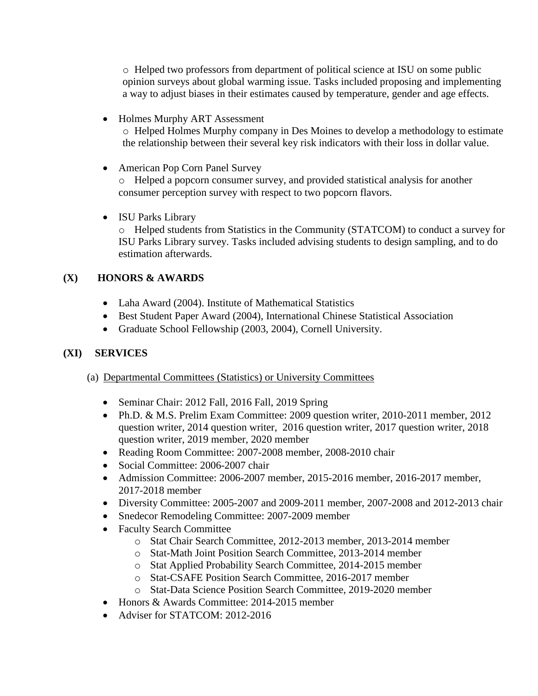o Helped two professors from department of political science at ISU on some public opinion surveys about global warming issue. Tasks included proposing and implementing a way to adjust biases in their estimates caused by temperature, gender and age effects.

- Holmes Murphy ART Assessment o Helped Holmes Murphy company in Des Moines to develop a methodology to estimate the relationship between their several key risk indicators with their loss in dollar value.
- American Pop Corn Panel Survey

o Helped a popcorn consumer survey, and provided statistical analysis for another consumer perception survey with respect to two popcorn flavors.

• ISU Parks Library o Helped students from Statistics in the Community (STATCOM) to conduct a survey for ISU Parks Library survey. Tasks included advising students to design sampling, and to do estimation afterwards.

# **(X) HONORS & AWARDS**

- Laha Award (2004). Institute of Mathematical Statistics
- Best Student Paper Award (2004), International Chinese Statistical Association
- Graduate School Fellowship (2003, 2004), Cornell University.

# **(XI) SERVICES**

- (a) Departmental Committees (Statistics) or University Committees
	- Seminar Chair: 2012 Fall, 2016 Fall, 2019 Spring
	- Ph.D. & M.S. Prelim Exam Committee: 2009 question writer, 2010-2011 member, 2012 question writer, 2014 question writer, 2016 question writer, 2017 question writer, 2018 question writer, 2019 member, 2020 member
	- Reading Room Committee: 2007-2008 member, 2008-2010 chair
	- Social Committee: 2006-2007 chair
	- Admission Committee: 2006-2007 member, 2015-2016 member, 2016-2017 member, 2017-2018 member
	- Diversity Committee: 2005-2007 and 2009-2011 member, 2007-2008 and 2012-2013 chair
	- Snedecor Remodeling Committee: 2007-2009 member
	- Faculty Search Committee
		- o Stat Chair Search Committee, 2012-2013 member, 2013-2014 member
		- o Stat-Math Joint Position Search Committee, 2013-2014 member
		- o Stat Applied Probability Search Committee, 2014-2015 member
		- o Stat-CSAFE Position Search Committee, 2016-2017 member
		- o Stat-Data Science Position Search Committee, 2019-2020 member
	- Honors & Awards Committee: 2014-2015 member
	- Adviser for STATCOM: 2012-2016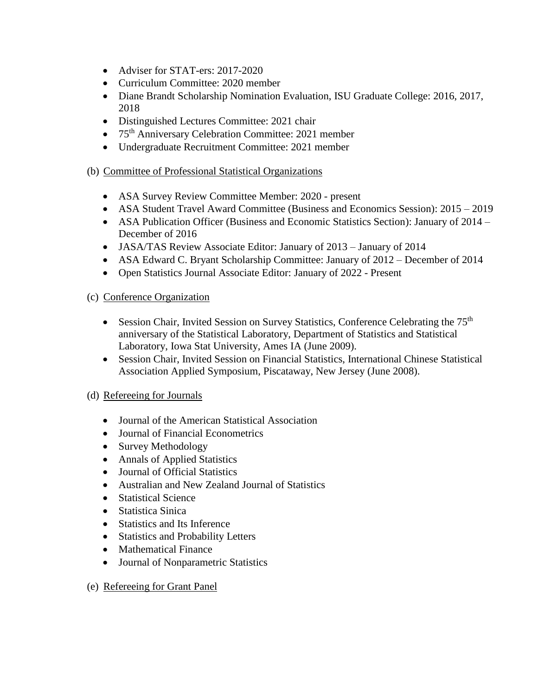- Adviser for STAT-ers: 2017-2020
- Curriculum Committee: 2020 member
- Diane Brandt Scholarship Nomination Evaluation, ISU Graduate College: 2016, 2017, 2018
- Distinguished Lectures Committee: 2021 chair
- 75<sup>th</sup> Anniversary Celebration Committee: 2021 member
- Undergraduate Recruitment Committee: 2021 member

# (b) Committee of Professional Statistical Organizations

- ASA Survey Review Committee Member: 2020 present
- ASA Student Travel Award Committee (Business and Economics Session): 2015 2019
- ASA Publication Officer (Business and Economic Statistics Section): January of 2014 December of 2016
- JASA/TAS Review Associate Editor: January of 2013 January of 2014
- ASA Edward C. Bryant Scholarship Committee: January of 2012 December of 2014
- Open Statistics Journal Associate Editor: January of 2022 Present

# (c) Conference Organization

- Session Chair, Invited Session on Survey Statistics, Conference Celebrating the  $75<sup>th</sup>$ anniversary of the Statistical Laboratory, Department of Statistics and Statistical Laboratory, Iowa Stat University, Ames IA (June 2009).
- Session Chair, Invited Session on Financial Statistics, International Chinese Statistical Association Applied Symposium, Piscataway, New Jersey (June 2008).

# (d) Refereeing for Journals

- Journal of the American Statistical Association
- Journal of Financial Econometrics
- Survey Methodology
- Annals of Applied Statistics
- Journal of Official Statistics
- Australian and New Zealand Journal of Statistics
- Statistical Science
- Statistica Sinica
- Statistics and Its Inference
- Statistics and Probability Letters
- Mathematical Finance
- Journal of Nonparametric Statistics

# (e) Refereeing for Grant Panel